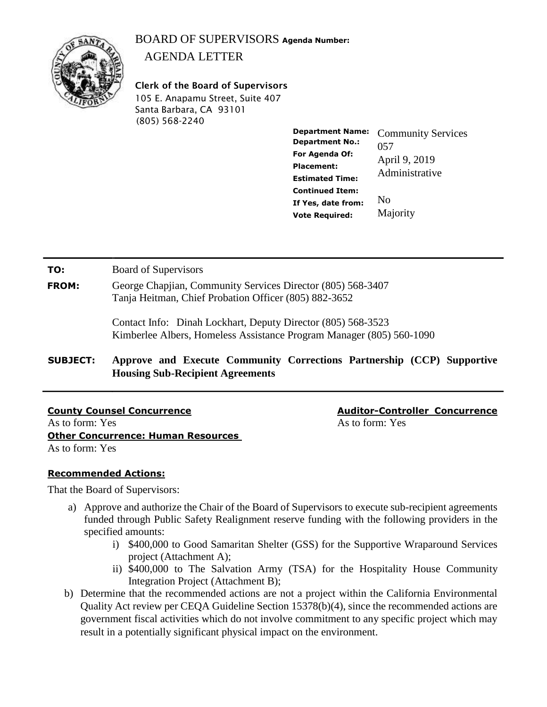# BOARD OF SUPERVISORS **Agenda Number:**  AGENDA LETTER



**Clerk of the Board of Supervisors** 105 E. Anapamu Street, Suite 407 Santa Barbara, CA 93101 (805) 568-2240

> **Department Name: Department No.: For Agenda Of: Placement: Estimated Time: Continued Item: If Yes, date from: Vote Required:**  Community Services 057 April 9, 2019 Administrative No Majority

**TO:** Board of Supervisors

**FROM:** George Chapjian, Community Services Director (805) 568-3407 Tanja Heitman, Chief Probation Officer (805) 882-3652

> Contact Info: Dinah Lockhart, Deputy Director (805) 568-3523 Kimberlee Albers, Homeless Assistance Program Manager (805) 560-1090

**SUBJECT: Approve and Execute Community Corrections Partnership (CCP) Supportive Housing Sub-Recipient Agreements**

**County Counsel Concurrence Auditor-Controller Concurrence** As to form: Yes As to form: Yes As to form: Yes As to form: Yes As to form: Yes **Other Concurrence: Human Resources**  As to form: Yes

# **Recommended Actions:**

That the Board of Supervisors:

- a) Approve and authorize the Chair of the Board of Supervisors to execute sub-recipient agreements funded through Public Safety Realignment reserve funding with the following providers in the specified amounts:
	- i) \$400,000 to Good Samaritan Shelter (GSS) for the Supportive Wraparound Services project (Attachment A);
	- ii) \$400,000 to The Salvation Army (TSA) for the Hospitality House Community Integration Project (Attachment B);
- b) Determine that the recommended actions are not a project within the California Environmental Quality Act review per CEQA Guideline Section 15378(b)(4), since the recommended actions are government fiscal activities which do not involve commitment to any specific project which may result in a potentially significant physical impact on the environment.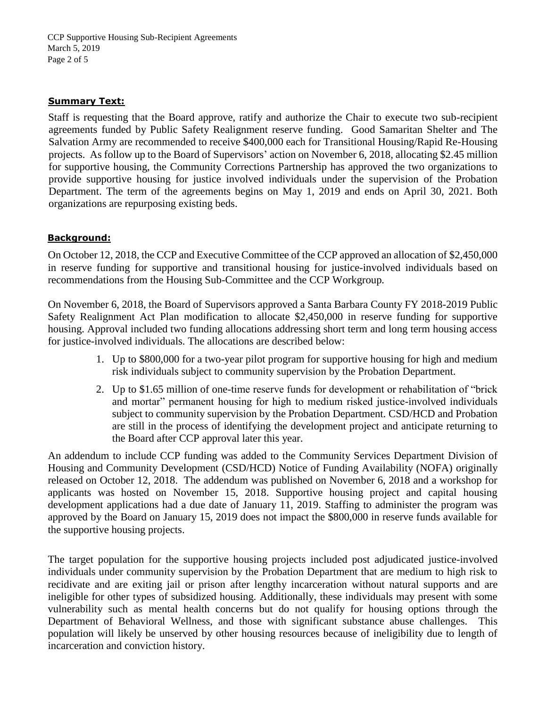CCP Supportive Housing Sub-Recipient Agreements March 5, 2019 Page 2 of 5

#### **Summary Text:**

Staff is requesting that the Board approve, ratify and authorize the Chair to execute two sub-recipient agreements funded by Public Safety Realignment reserve funding. Good Samaritan Shelter and The Salvation Army are recommended to receive \$400,000 each for Transitional Housing/Rapid Re-Housing projects. As follow up to the Board of Supervisors' action on November 6, 2018, allocating \$2.45 million for supportive housing, the Community Corrections Partnership has approved the two organizations to provide supportive housing for justice involved individuals under the supervision of the Probation Department. The term of the agreements begins on May 1, 2019 and ends on April 30, 2021. Both organizations are repurposing existing beds.

### **Background:**

On October 12, 2018, the CCP and Executive Committee of the CCP approved an allocation of \$2,450,000 in reserve funding for supportive and transitional housing for justice-involved individuals based on recommendations from the Housing Sub-Committee and the CCP Workgroup*.* 

On November 6, 2018, the Board of Supervisors approved a Santa Barbara County FY 2018-2019 Public Safety Realignment Act Plan modification to allocate \$2,450,000 in reserve funding for supportive housing. Approval included two funding allocations addressing short term and long term housing access for justice-involved individuals. The allocations are described below:

- 1. Up to \$800,000 for a two-year pilot program for supportive housing for high and medium risk individuals subject to community supervision by the Probation Department.
- 2. Up to \$1.65 million of one-time reserve funds for development or rehabilitation of "brick and mortar" permanent housing for high to medium risked justice-involved individuals subject to community supervision by the Probation Department. CSD/HCD and Probation are still in the process of identifying the development project and anticipate returning to the Board after CCP approval later this year.

An addendum to include CCP funding was added to the Community Services Department Division of Housing and Community Development (CSD/HCD) Notice of Funding Availability (NOFA) originally released on October 12, 2018. The addendum was published on November 6, 2018 and a workshop for applicants was hosted on November 15, 2018. Supportive housing project and capital housing development applications had a due date of January 11, 2019. Staffing to administer the program was approved by the Board on January 15, 2019 does not impact the \$800,000 in reserve funds available for the supportive housing projects.

The target population for the supportive housing projects included post adjudicated justice-involved individuals under community supervision by the Probation Department that are medium to high risk to recidivate and are exiting jail or prison after lengthy incarceration without natural supports and are ineligible for other types of subsidized housing. Additionally, these individuals may present with some vulnerability such as mental health concerns but do not qualify for housing options through the Department of Behavioral Wellness, and those with significant substance abuse challenges. This population will likely be unserved by other housing resources because of ineligibility due to length of incarceration and conviction history.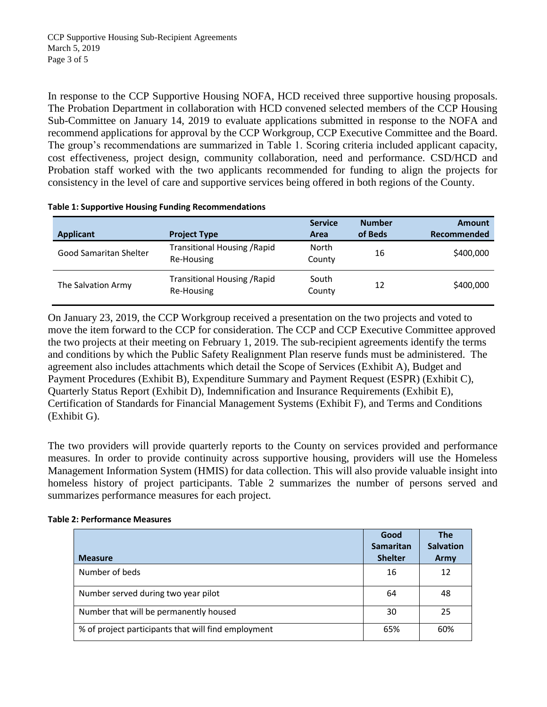In response to the CCP Supportive Housing NOFA, HCD received three supportive housing proposals. The Probation Department in collaboration with HCD convened selected members of the CCP Housing Sub-Committee on January 14, 2019 to evaluate applications submitted in response to the NOFA and recommend applications for approval by the CCP Workgroup, CCP Executive Committee and the Board. The group's recommendations are summarized in Table 1. Scoring criteria included applicant capacity, cost effectiveness, project design, community collaboration, need and performance. CSD/HCD and Probation staff worked with the two applicants recommended for funding to align the projects for consistency in the level of care and supportive services being offered in both regions of the County.

|  |  | <b>Table 1: Supportive Housing Funding Recommendations</b> |
|--|--|------------------------------------------------------------|
|--|--|------------------------------------------------------------|

| Applicant              | <b>Project Type</b>                               | <b>Service</b><br>Area | <b>Number</b><br>of Beds | <b>Amount</b><br>Recommended |
|------------------------|---------------------------------------------------|------------------------|--------------------------|------------------------------|
| Good Samaritan Shelter | <b>Transitional Housing / Rapid</b><br>Re-Housing | North<br>County        | 16                       | \$400,000                    |
| The Salvation Army     | Transitional Housing / Rapid<br>Re-Housing        | South<br>County        | 12                       | \$400,000                    |

On January 23, 2019, the CCP Workgroup received a presentation on the two projects and voted to move the item forward to the CCP for consideration. The CCP and CCP Executive Committee approved the two projects at their meeting on February 1, 2019. The sub-recipient agreements identify the terms and conditions by which the Public Safety Realignment Plan reserve funds must be administered. The agreement also includes attachments which detail the Scope of Services (Exhibit A), Budget and Payment Procedures (Exhibit B), Expenditure Summary and Payment Request (ESPR) (Exhibit C), Quarterly Status Report (Exhibit D), Indemnification and Insurance Requirements (Exhibit E), Certification of Standards for Financial Management Systems (Exhibit F), and Terms and Conditions (Exhibit G).

The two providers will provide quarterly reports to the County on services provided and performance measures. In order to provide continuity across supportive housing, providers will use the Homeless Management Information System (HMIS) for data collection. This will also provide valuable insight into homeless history of project participants. Table 2 summarizes the number of persons served and summarizes performance measures for each project.

### **Table 2: Performance Measures**

| <b>Measure</b>                                      | Good<br><b>Samaritan</b><br><b>Shelter</b> | <b>The</b><br><b>Salvation</b><br>Army |
|-----------------------------------------------------|--------------------------------------------|----------------------------------------|
| Number of beds                                      | 16                                         | 12                                     |
| Number served during two year pilot                 | 64                                         | 48                                     |
| Number that will be permanently housed              | 30                                         | 25                                     |
| % of project participants that will find employment | 65%                                        | 60%                                    |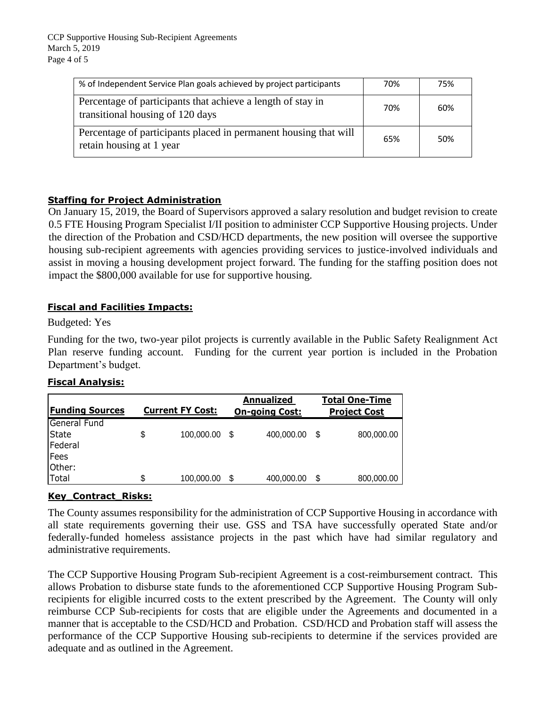| % of Independent Service Plan goals achieved by project participants                            | 70% | 75% |
|-------------------------------------------------------------------------------------------------|-----|-----|
| Percentage of participants that achieve a length of stay in<br>transitional housing of 120 days | 70% | 60% |
| Percentage of participants placed in permanent housing that will<br>retain housing at 1 year    | 65% | 50% |

# **Staffing for Project Administration**

On January 15, 2019, the Board of Supervisors approved a salary resolution and budget revision to create 0.5 FTE Housing Program Specialist I/II position to administer CCP Supportive Housing projects. Under the direction of the Probation and CSD/HCD departments, the new position will oversee the supportive housing sub-recipient agreements with agencies providing services to justice-involved individuals and assist in moving a housing development project forward. The funding for the staffing position does not impact the \$800,000 available for use for supportive housing.

## **Fiscal and Facilities Impacts:**

Budgeted: Yes

Funding for the two, two-year pilot projects is currently available in the Public Safety Realignment Act Plan reserve funding account. Funding for the current year portion is included in the Probation Department's budget.

### **Fiscal Analysis:**

| <b>Funding Sources</b> | <b>Current FY Cost:</b> |    | <b>Annualized</b><br><b>On-going Cost:</b> |   | <b>Total One-Time</b><br><b>Project Cost</b> |
|------------------------|-------------------------|----|--------------------------------------------|---|----------------------------------------------|
| General Fund           |                         |    |                                            |   |                                              |
| <b>State</b>           | \$<br>100,000.00        | .S | 400,000.00                                 | S | 800,000.00                                   |
| Federal                |                         |    |                                            |   |                                              |
| Fees                   |                         |    |                                            |   |                                              |
| Other:                 |                         |    |                                            |   |                                              |
| Total                  | \$<br>100,000.00        | S  | 400,000.00                                 | S | 800,000.00                                   |

# **Key\_Contract\_Risks:**

The County assumes responsibility for the administration of CCP Supportive Housing in accordance with all state requirements governing their use. GSS and TSA have successfully operated State and/or federally-funded homeless assistance projects in the past which have had similar regulatory and administrative requirements.

The CCP Supportive Housing Program Sub-recipient Agreement is a cost-reimbursement contract. This allows Probation to disburse state funds to the aforementioned CCP Supportive Housing Program Subrecipients for eligible incurred costs to the extent prescribed by the Agreement. The County will only reimburse CCP Sub-recipients for costs that are eligible under the Agreements and documented in a manner that is acceptable to the CSD/HCD and Probation. CSD/HCD and Probation staff will assess the performance of the CCP Supportive Housing sub-recipients to determine if the services provided are adequate and as outlined in the Agreement.